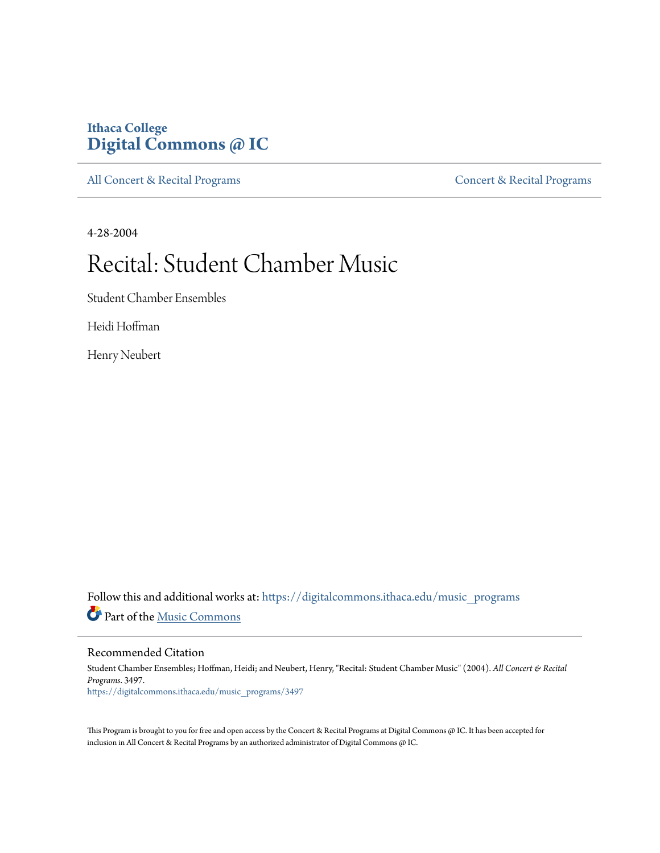## **Ithaca College [Digital Commons @ IC](https://digitalcommons.ithaca.edu?utm_source=digitalcommons.ithaca.edu%2Fmusic_programs%2F3497&utm_medium=PDF&utm_campaign=PDFCoverPages)**

[All Concert & Recital Programs](https://digitalcommons.ithaca.edu/music_programs?utm_source=digitalcommons.ithaca.edu%2Fmusic_programs%2F3497&utm_medium=PDF&utm_campaign=PDFCoverPages) **[Concert & Recital Programs](https://digitalcommons.ithaca.edu/som_programs?utm_source=digitalcommons.ithaca.edu%2Fmusic_programs%2F3497&utm_medium=PDF&utm_campaign=PDFCoverPages)** 

4-28-2004

## Recital: Student Chamber Music

Student Chamber Ensembles

Heidi Hoffman

Henry Neubert

Follow this and additional works at: [https://digitalcommons.ithaca.edu/music\\_programs](https://digitalcommons.ithaca.edu/music_programs?utm_source=digitalcommons.ithaca.edu%2Fmusic_programs%2F3497&utm_medium=PDF&utm_campaign=PDFCoverPages) Part of the [Music Commons](http://network.bepress.com/hgg/discipline/518?utm_source=digitalcommons.ithaca.edu%2Fmusic_programs%2F3497&utm_medium=PDF&utm_campaign=PDFCoverPages)

Recommended Citation

Student Chamber Ensembles; Hoffman, Heidi; and Neubert, Henry, "Recital: Student Chamber Music" (2004). *All Concert & Recital Programs*. 3497. [https://digitalcommons.ithaca.edu/music\\_programs/3497](https://digitalcommons.ithaca.edu/music_programs/3497?utm_source=digitalcommons.ithaca.edu%2Fmusic_programs%2F3497&utm_medium=PDF&utm_campaign=PDFCoverPages)

This Program is brought to you for free and open access by the Concert & Recital Programs at Digital Commons @ IC. It has been accepted for inclusion in All Concert & Recital Programs by an authorized administrator of Digital Commons @ IC.